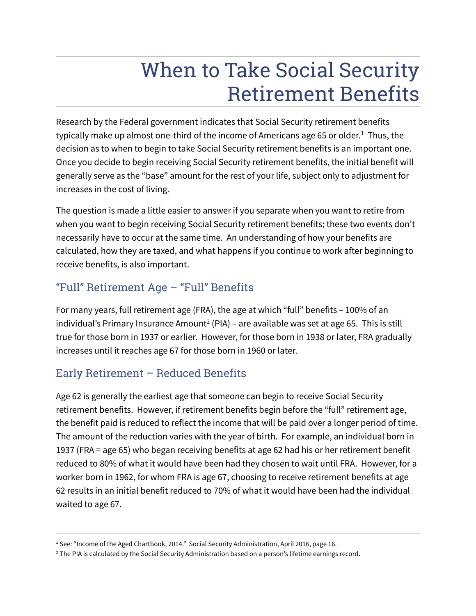# When to Take Social Security Retirement Benefits

Research by the Federal government indicates that Social Security retirement benefits typically make up almost one-third of the income of Americans age 65 or older.<sup>1</sup> Thus, the decision as to when to begin to take Social Security retirement benefits is an important one. Once you decide to begin receiving Social Security retirement benefits, the initial benefit will generally serve as the "base" amount for the rest of your life, subject only to adjustment for increases in the cost of living.

The question is made a little easier to answer if you separate when you want to retire from when you want to begin receiving Social Security retirement benefits; these two events don't necessarily have to occur at the same time. An understanding of how your benefits are calculated, how they are taxed, and what happens if you continue to work after beginning to receive benefits, is also important.

# "Full" Retirement Age – "Full" Benefits

For many years, full retirement age (FRA), the age at which "full" benefits – 100% of an individual's Primary Insurance Amount<sup>2</sup> (PIA) – are available was set at age 65. This is still true for those born in 1937 or earlier. However, for those born in 1938 or later, FRA gradually increases until it reaches age 67 for those born in 1960 or later.

## Early Retirement – Reduced Benefits

Age 62 is generally the earliest age that someone can begin to receive Social Security retirement benefits. However, if retirement benefits begin before the "full" retirement age, the benefit paid is reduced to reflect the income that will be paid over a longer period of time. The amount of the reduction varies with the year of birth. For example, an individual born in 1937 (FRA = age 65) who began receiving benefits at age 62 had his or her retirement benefit reduced to 80% of what it would have been had they chosen to wait until FRA. However, for a worker born in 1962, for whom FRA is age 67, choosing to receive retirement benefits at age 62 results in an initial benefit reduced to 70% of what it would have been had the individual waited to age 67.

<sup>&</sup>lt;sup>1</sup> See: "Income of the Aged Chartbook, 2014." Social Security Administration, April 2016, page 16.

 $^2$  The PIA is calculated by the Social Security Administration based on a person's lifetime earnings record.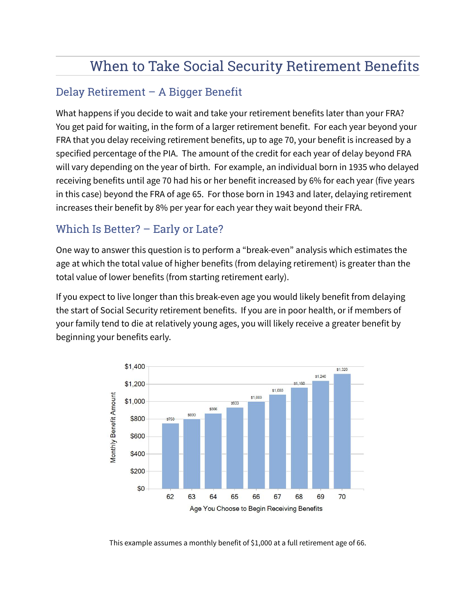# When to Take Social Security Retirement Benefits

### Delay Retirement – A Bigger Benefit

What happens if you decide to wait and take your retirement benefits later than your FRA? You get paid for waiting, in the form of a larger retirement benefit. For each year beyond your FRA that you delay receiving retirement benefits, up to age 70, your benefit is increased by a specified percentage of the PIA. The amount of the credit for each year of delay beyond FRA will vary depending on the year of birth. For example, an individual born in 1935 who delayed receiving benefits until age 70 had his or her benefit increased by 6% for each year (five years in this case) beyond the FRA of age 65. For those born in 1943 and later, delaying retirement increases their benefit by 8% per year for each year they wait beyond their FRA.

#### Which Is Better? – Early or Late?

One way to answer this question is to perform a "break-even" analysis which estimates the age at which the total value of higher benefits (from delaying retirement) is greater than the total value of lower benefits (from starting retirement early).

If you expect to live longer than this break-even age you would likely benefit from delaying the start of Social Security retirement benefits. If you are in poor health, or if members of your family tend to die at relatively young ages, you will likely receive a greater benefit by beginning your benefits early.



This example assumes a monthly benefit of \$1,000 at a full retirement age of 66.